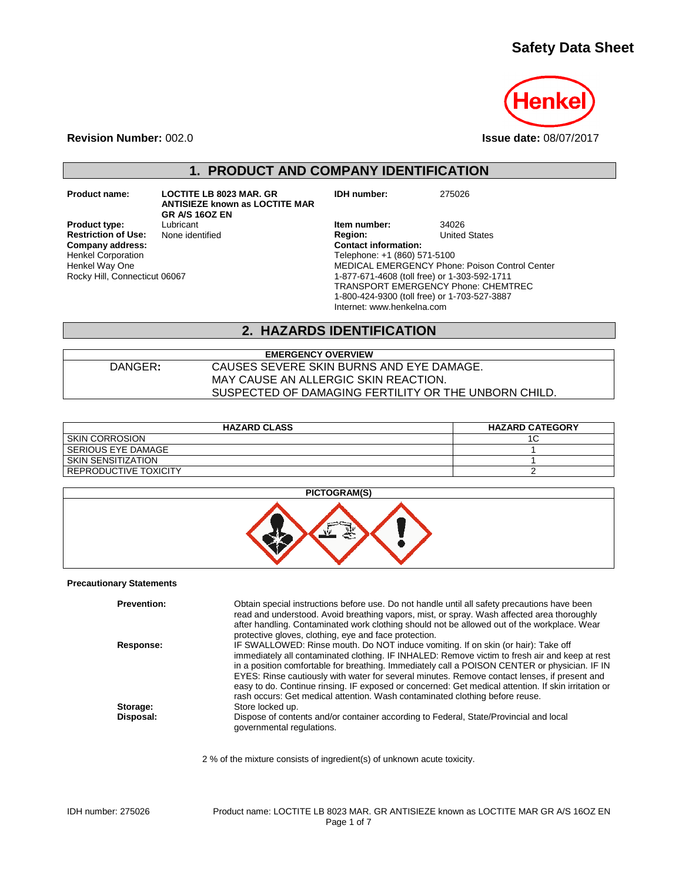# **Safety Data Sheet**



**Revision Number:** 002.0 **Issue date:** 08/07/2017

# **1. PRODUCT AND COMPANY IDENTIFICATION**

**Restriction of Use:**<br>Company address: Henkel Corporation Henkel Way One Rocky Hill, Connecticut 06067

**Product name: LOCTITE LB 8023 MAR. GR ANTISIEZE known as LOCTITE MAR GR A/S 16OZ EN Product type:** Lubricant Lubricant **Item number:** 34026<br> **Restriction of Use:** None identified **Integral Product Product** Region: United States

 $C$ ontact information: Telephone: +1 (860) 571-5100 MEDICAL EMERGENCY Phone: Poison Control Center 1-877-671-4608 (toll free) or 1-303-592-1711 TRANSPORT EMERGENCY Phone: CHEMTREC 1-800-424-9300 (toll free) or 1-703-527-3887 Internet: www.henkelna.com

**IDH number:** 275026

### **2. HAZARDS IDENTIFICATION**

#### **EMERGENCY OVERVIEW** DANGER**:** CAUSES SEVERE SKIN BURNS AND EYE DAMAGE. MAY CAUSE AN ALLERGIC SKIN REACTION. SUSPECTED OF DAMAGING FERTILITY OR THE UNBORN CHILD.

| <b>HAZARD CLASS</b>   | <b>HAZARD CATEGORY</b> |
|-----------------------|------------------------|
| <b>SKIN CORROSION</b> |                        |
| SERIOUS EYE DAMAGE    |                        |
| SKIN SENSITIZATION    |                        |
| REPRODUCTIVE TOXICITY |                        |



#### **Precautionary Statements**

| <b>Prevention:</b> | Obtain special instructions before use. Do not handle until all safety precautions have been<br>read and understood. Avoid breathing vapors, mist, or spray. Wash affected area thoroughly |
|--------------------|--------------------------------------------------------------------------------------------------------------------------------------------------------------------------------------------|
|                    | after handling. Contaminated work clothing should not be allowed out of the workplace. Wear                                                                                                |
|                    | protective gloves, clothing, eye and face protection.                                                                                                                                      |
| Response:          | IF SWALLOWED: Rinse mouth. Do NOT induce vomiting. If on skin (or hair): Take off                                                                                                          |
|                    | immediately all contaminated clothing. IF INHALED: Remove victim to fresh air and keep at rest                                                                                             |
|                    | in a position comfortable for breathing. Immediately call a POISON CENTER or physician. IF IN                                                                                              |
|                    | EYES: Rinse cautiously with water for several minutes. Remove contact lenses, if present and                                                                                               |
|                    | easy to do. Continue rinsing. IF exposed or concerned: Get medical attention. If skin irritation or                                                                                        |
|                    | rash occurs: Get medical attention. Wash contaminated clothing before reuse.                                                                                                               |
| Storage:           | Store locked up.                                                                                                                                                                           |
| Disposal:          | Dispose of contents and/or container according to Federal, State/Provincial and local<br>governmental regulations.                                                                         |
|                    |                                                                                                                                                                                            |

2 % of the mixture consists of ingredient(s) of unknown acute toxicity.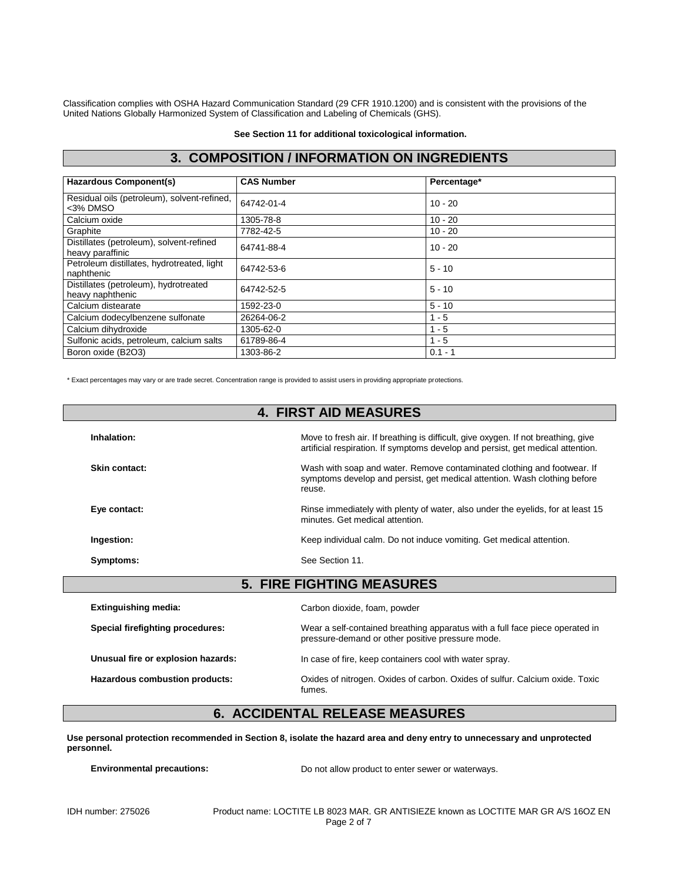Classification complies with OSHA Hazard Communication Standard (29 CFR 1910.1200) and is consistent with the provisions of the United Nations Globally Harmonized System of Classification and Labeling of Chemicals (GHS).

**See Section 11 for additional toxicological information.**

## **3. COMPOSITION / INFORMATION ON INGREDIENTS**

| <b>Hazardous Component(s)</b>                                | <b>CAS Number</b> | Percentage* |
|--------------------------------------------------------------|-------------------|-------------|
| Residual oils (petroleum), solvent-refined,<br><3% DMSO      | 64742-01-4        | $10 - 20$   |
| Calcium oxide                                                | 1305-78-8         | $10 - 20$   |
| Graphite                                                     | 7782-42-5         | $10 - 20$   |
| Distillates (petroleum), solvent-refined<br>heavy paraffinic | 64741-88-4        | $10 - 20$   |
| Petroleum distillates, hydrotreated, light<br>naphthenic     | 64742-53-6        | $5 - 10$    |
| Distillates (petroleum), hydrotreated<br>heavy naphthenic    | 64742-52-5        | $5 - 10$    |
| Calcium distearate                                           | 1592-23-0         | $5 - 10$    |
| Calcium dodecylbenzene sulfonate                             | 26264-06-2        | $1 - 5$     |
| Calcium dihydroxide                                          | 1305-62-0         | $1 - 5$     |
| Sulfonic acids, petroleum, calcium salts                     | 61789-86-4        | $1 - 5$     |
| Boron oxide (B2O3)                                           | 1303-86-2         | $0.1 - 1$   |

\* Exact percentages may vary or are trade secret. Concentration range is provided to assist users in providing appropriate protections.

|                                    | <b>4. FIRST AID MEASURES</b>                                                                                                                                         |  |  |
|------------------------------------|----------------------------------------------------------------------------------------------------------------------------------------------------------------------|--|--|
| Inhalation:                        | Move to fresh air. If breathing is difficult, give oxygen. If not breathing, give<br>artificial respiration. If symptoms develop and persist, get medical attention. |  |  |
| Skin contact:                      | Wash with soap and water. Remove contaminated clothing and footwear. If<br>symptoms develop and persist, get medical attention. Wash clothing before<br>reuse.       |  |  |
| Eye contact:                       | Rinse immediately with plenty of water, also under the eyelids, for at least 15<br>minutes. Get medical attention.                                                   |  |  |
| Ingestion:                         | Keep individual calm. Do not induce vomiting. Get medical attention.                                                                                                 |  |  |
| Symptoms:                          | See Section 11.                                                                                                                                                      |  |  |
|                                    | <b>5. FIRE FIGHTING MEASURES</b>                                                                                                                                     |  |  |
|                                    |                                                                                                                                                                      |  |  |
| <b>Extinguishing media:</b>        | Carbon dioxide, foam, powder                                                                                                                                         |  |  |
| Special firefighting procedures:   | Wear a self-contained breathing apparatus with a full face piece operated in<br>pressure-demand or other positive pressure mode.                                     |  |  |
| Unusual fire or explosion hazards: | In case of fire, keep containers cool with water spray.                                                                                                              |  |  |

**Hazardous combustion products:** Oxides of nitrogen. Oxides of carbon. Oxides of sulfur. Calcium oxide. Toxic

### **6. ACCIDENTAL RELEASE MEASURES**

**Use personal protection recommended in Section 8, isolate the hazard area and deny entry to unnecessary and unprotected personnel.**

fumes.

**Environmental precautions:** Do not allow product to enter sewer or waterways.

IDH number: 275026 Product name: LOCTITE LB 8023 MAR. GR ANTISIEZE known as LOCTITE MAR GR A/S 16OZ EN Page 2 of 7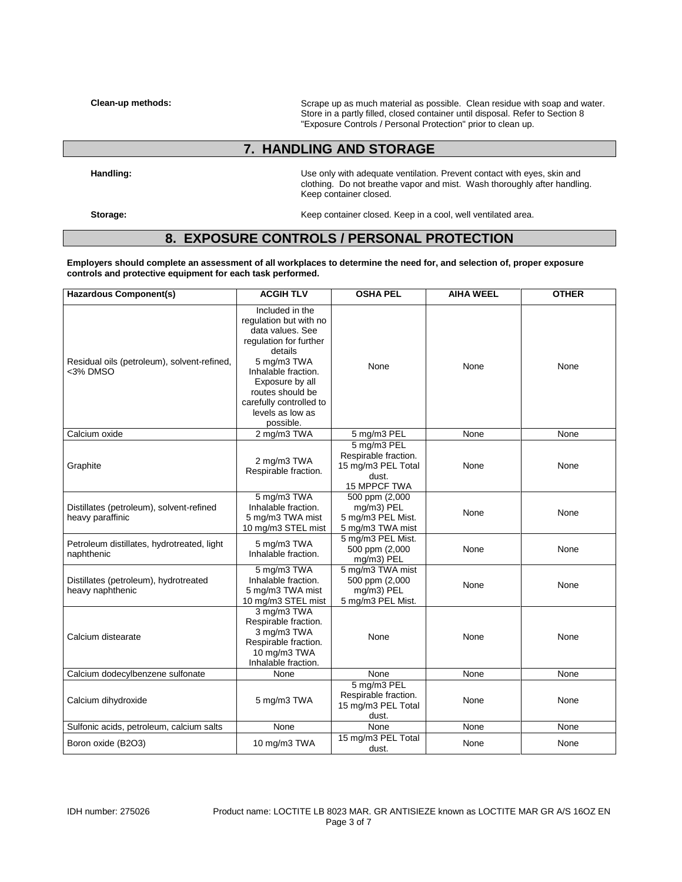**Clean-up methods:** Scrape up as much material as possible. Clean residue with soap and water. Store in a partly filled, closed container until disposal. Refer to Section 8 "Exposure Controls / Personal Protection" prior to clean up.

## **7. HANDLING AND STORAGE**

**Handling:** Use only with adequate ventilation. Prevent contact with eyes, skin and clothing. Do not breathe vapor and mist. Wash thoroughly after handling. Keep container closed.

Storage: **Storage: Keep container closed. Keep in a cool, well ventilated area.** 

### **8. EXPOSURE CONTROLS / PERSONAL PROTECTION**

**Employers should complete an assessment of all workplaces to determine the need for, and selection of, proper exposure controls and protective equipment for each task performed.**

| <b>Hazardous Component(s)</b>                                | <b>ACGIH TLV</b>                                                                                                                                                                                                                            | <b>OSHA PEL</b>                                                                    | <b>AIHA WEEL</b> | <b>OTHER</b> |
|--------------------------------------------------------------|---------------------------------------------------------------------------------------------------------------------------------------------------------------------------------------------------------------------------------------------|------------------------------------------------------------------------------------|------------------|--------------|
| Residual oils (petroleum), solvent-refined,<br><3% DMSO      | Included in the<br>regulation but with no<br>data values. See<br>regulation for further<br>details<br>5 mg/m3 TWA<br>Inhalable fraction.<br>Exposure by all<br>routes should be<br>carefully controlled to<br>levels as low as<br>possible. | None                                                                               | None             | None         |
| Calcium oxide                                                | 2 mg/m3 TWA                                                                                                                                                                                                                                 | 5 mg/m3 PEL                                                                        | None             | None         |
| Graphite                                                     | 2 mg/m3 TWA<br>Respirable fraction.                                                                                                                                                                                                         | 5 mg/m3 PEL<br>Respirable fraction.<br>15 mg/m3 PEL Total<br>dust.<br>15 MPPCF TWA | None             | None         |
| Distillates (petroleum), solvent-refined<br>heavy paraffinic | 5 mg/m3 TWA<br>Inhalable fraction.<br>5 mg/m3 TWA mist<br>10 mg/m3 STEL mist                                                                                                                                                                | 500 ppm (2,000<br>mg/m3) PEL<br>5 mg/m3 PEL Mist.<br>5 mg/m3 TWA mist              | None             | None         |
| Petroleum distillates, hydrotreated, light<br>naphthenic     | 5 mg/m3 TWA<br>Inhalable fraction.                                                                                                                                                                                                          | 5 mg/m3 PEL Mist.<br>500 ppm (2,000<br>mg/m3) PEL                                  | None             | None         |
| Distillates (petroleum), hydrotreated<br>heavy naphthenic    | 5 mg/m3 TWA<br>Inhalable fraction.<br>5 mg/m3 TWA mist<br>10 mg/m3 STEL mist                                                                                                                                                                | 5 mg/m3 TWA mist<br>500 ppm (2,000<br>mg/m3) PEL<br>5 mg/m3 PEL Mist.              | None             | None         |
| Calcium distearate                                           | 3 mg/m3 TWA<br>Respirable fraction.<br>3 mg/m3 TWA<br>Respirable fraction.<br>10 mg/m3 TWA<br>Inhalable fraction.                                                                                                                           | None                                                                               | None             | None         |
| Calcium dodecylbenzene sulfonate                             | None                                                                                                                                                                                                                                        | None                                                                               | None             | None         |
| Calcium dihydroxide                                          | 5 mg/m3 TWA                                                                                                                                                                                                                                 | 5 mg/m3 PEL<br>Respirable fraction.<br>15 mg/m3 PEL Total<br>dust.                 | None             | None         |
| Sulfonic acids, petroleum, calcium salts                     | None                                                                                                                                                                                                                                        | None                                                                               | None             | None         |
| Boron oxide (B2O3)                                           | 10 mg/m3 TWA                                                                                                                                                                                                                                | 15 mg/m3 PEL Total<br>dust.                                                        | None             | None         |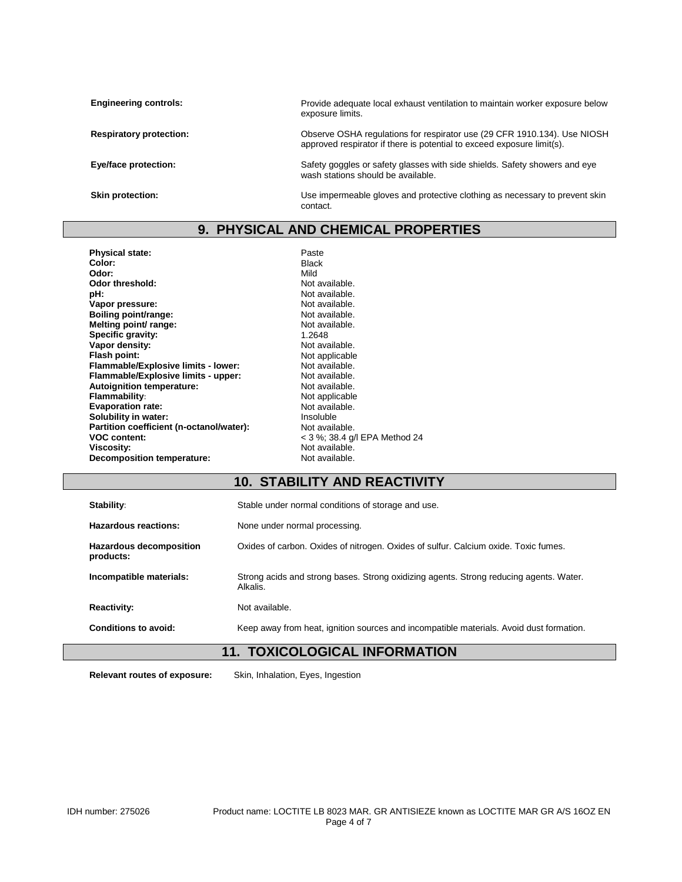| <b>Engineering controls:</b>   | Provide adequate local exhaust ventilation to maintain worker exposure below<br>exposure limits.                                                   |
|--------------------------------|----------------------------------------------------------------------------------------------------------------------------------------------------|
| <b>Respiratory protection:</b> | Observe OSHA regulations for respirator use (29 CFR 1910.134). Use NIOSH<br>approved respirator if there is potential to exceed exposure limit(s). |
| Eye/face protection:           | Safety goggles or safety glasses with side shields. Safety showers and eye<br>wash stations should be available.                                   |
| Skin protection:               | Use impermeable gloves and protective clothing as necessary to prevent skin<br>contact.                                                            |

## **9. PHYSICAL AND CHEMICAL PROPERTIES**

| <b>Physical state:</b>                   | Paste                         |
|------------------------------------------|-------------------------------|
| Color:                                   | <b>Black</b>                  |
| Odor:                                    | Mild                          |
| Odor threshold:                          | Not available.                |
| pH:                                      | Not available.                |
| Vapor pressure:                          | Not available.                |
| Boiling point/range:                     | Not available.                |
| Melting point/ range:                    | Not available.                |
| Specific gravity:                        | 1.2648                        |
| Vapor density:                           | Not available.                |
| Flash point:                             | Not applicable                |
| Flammable/Explosive limits - lower:      | Not available.                |
| Flammable/Explosive limits - upper:      | Not available.                |
| <b>Autoignition temperature:</b>         | Not available.                |
| <b>Flammability:</b>                     | Not applicable                |
| <b>Evaporation rate:</b>                 | Not available.                |
| Solubility in water:                     | Insoluble                     |
| Partition coefficient (n-octanol/water): | Not available.                |
| <b>VOC content:</b>                      | < 3 %; 38.4 g/l EPA Method 24 |
| Viscosity:                               | Not available.                |
| Decomposition temperature:               | Not available.                |
|                                          |                               |

# **10. STABILITY AND REACTIVITY**

| Stability:              |                                | Stable under normal conditions of storage and use.                                                 |
|-------------------------|--------------------------------|----------------------------------------------------------------------------------------------------|
| Hazardous reactions:    |                                | None under normal processing.                                                                      |
| products:               | <b>Hazardous decomposition</b> | Oxides of carbon. Oxides of nitrogen. Oxides of sulfur. Calcium oxide. Toxic fumes.                |
| Incompatible materials: |                                | Strong acids and strong bases. Strong oxidizing agents. Strong reducing agents. Water.<br>Alkalis. |
| <b>Reactivity:</b>      |                                | Not available.                                                                                     |
| Conditions to avoid:    |                                | Keep away from heat, ignition sources and incompatible materials. Avoid dust formation.            |

# **11. TOXICOLOGICAL INFORMATION**

**Relevant routes of exposure:** Skin, Inhalation, Eyes, Ingestion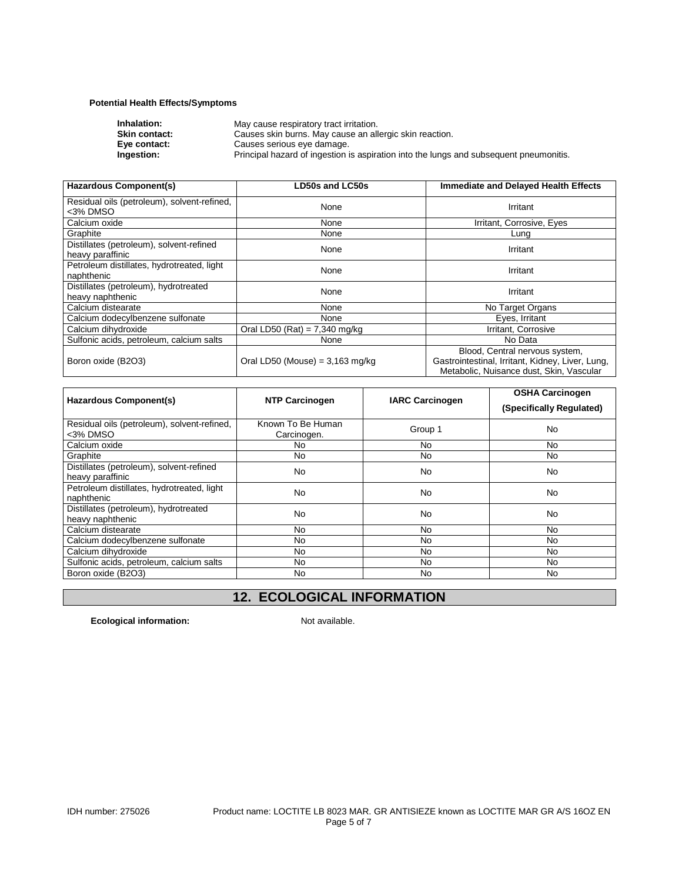#### **Potential Health Effects/Symptoms**

| Principal hazard of ingestion is aspiration into the lungs and subsequent pneumonitis. |
|----------------------------------------------------------------------------------------|
|                                                                                        |

| Hazardous Component(s)                                       | <b>LD50s and LC50s</b>            | <b>Immediate and Delayed Health Effects</b>                                                                                    |
|--------------------------------------------------------------|-----------------------------------|--------------------------------------------------------------------------------------------------------------------------------|
| Residual oils (petroleum), solvent-refined,<br><3% DMSO      | None                              | Irritant                                                                                                                       |
| Calcium oxide                                                | None                              | Irritant, Corrosive, Eyes                                                                                                      |
| Graphite                                                     | None                              | Lung                                                                                                                           |
| Distillates (petroleum), solvent-refined<br>heavy paraffinic | None                              | Irritant                                                                                                                       |
| Petroleum distillates, hydrotreated, light<br>naphthenic     | None                              | Irritant                                                                                                                       |
| Distillates (petroleum), hydrotreated<br>heavy naphthenic    | None                              | Irritant                                                                                                                       |
| Calcium distearate                                           | None                              | No Target Organs                                                                                                               |
| Calcium dodecylbenzene sulfonate                             | None                              | Eyes, Irritant                                                                                                                 |
| Calcium dihydroxide                                          | Oral LD50 (Rat) = $7,340$ mg/kg   | Irritant, Corrosive                                                                                                            |
| Sulfonic acids, petroleum, calcium salts                     | None                              | No Data                                                                                                                        |
| Boron oxide (B2O3)                                           | Oral LD50 (Mouse) = $3,163$ mg/kg | Blood, Central nervous system,<br>Gastrointestinal, Irritant, Kidney, Liver, Lung,<br>Metabolic, Nuisance dust, Skin, Vascular |

| Hazardous Component(s)                                       | <b>NTP Carcinogen</b>            | <b>IARC Carcinogen</b> | <b>OSHA Carcinogen</b><br>(Specifically Regulated) |
|--------------------------------------------------------------|----------------------------------|------------------------|----------------------------------------------------|
| Residual oils (petroleum), solvent-refined,<br>$3%$ DMSO     | Known To Be Human<br>Carcinogen. | Group 1                | <b>No</b>                                          |
| Calcium oxide                                                | No                               | No                     | No.                                                |
| Graphite                                                     | No.                              | No                     | No.                                                |
| Distillates (petroleum), solvent-refined<br>heavy paraffinic | No                               | No                     | <b>No</b>                                          |
| Petroleum distillates, hydrotreated, light<br>naphthenic     | N <sub>0</sub>                   | N <sub>o</sub>         | <b>No</b>                                          |
| Distillates (petroleum), hydrotreated<br>heavy naphthenic    | No                               | No                     | <b>No</b>                                          |
| Calcium distearate                                           | No.                              | No                     | <b>No</b>                                          |
| Calcium dodecylbenzene sulfonate                             | No                               | No                     | No                                                 |
| Calcium dihydroxide                                          | No                               | No                     | No                                                 |
| Sulfonic acids, petroleum, calcium salts                     | No                               | No                     | <b>No</b>                                          |
| Boron oxide (B2O3)                                           | No.                              | No                     | No.                                                |

# **12. ECOLOGICAL INFORMATION**

**Ecological information:** Not available.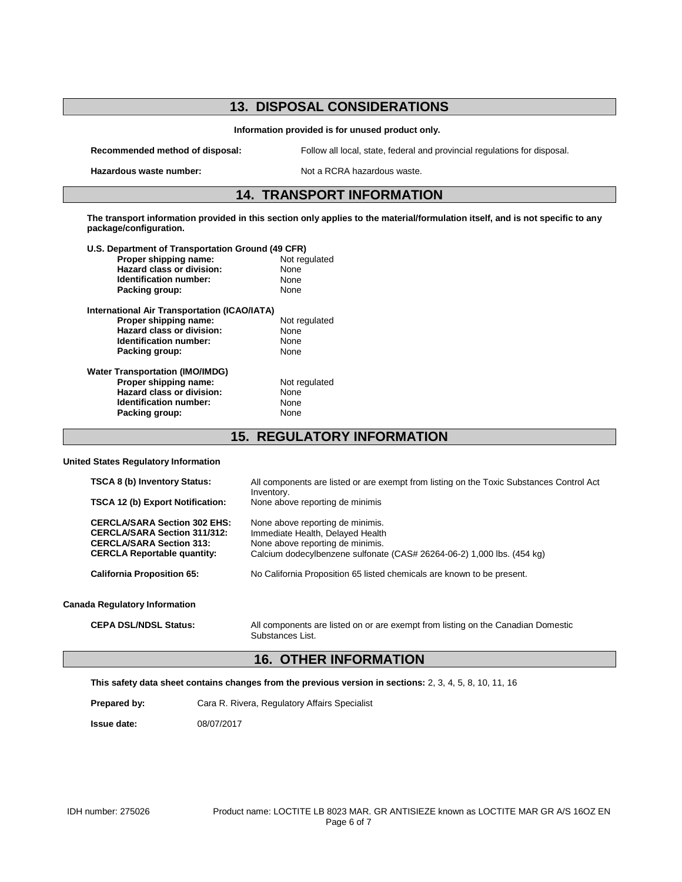## **13. DISPOSAL CONSIDERATIONS**

**Information provided is for unused product only.**

**Hazardous waste number:** Not a RCRA hazardous waste.

**Recommended method of disposal:** Follow all local, state, federal and provincial regulations for disposal.

### **14. TRANSPORT INFORMATION**

**The transport information provided in this section only applies to the material/formulation itself, and is not specific to any package/configuration.**

| U.S. Department of Transportation Ground (49 CFR) |               |  |
|---------------------------------------------------|---------------|--|
| Proper shipping name:                             | Not regulated |  |
| Hazard class or division:                         | None          |  |
| Identification number:                            | None          |  |
| Packing group:                                    | None          |  |
| International Air Transportation (ICAO/IATA)      |               |  |
| Proper shipping name:                             | Not regulated |  |
| Hazard class or division:                         | None          |  |
| Identification number:                            | None          |  |
| Packing group:                                    | None          |  |
| <b>Water Transportation (IMO/IMDG)</b>            |               |  |
| Proper shipping name:                             | Not regulated |  |
| Hazard class or division:                         | None          |  |
| Identification number:                            | None          |  |
| Packing group:                                    | None          |  |
|                                                   |               |  |

**15. REGULATORY INFORMATION**

#### **United States Regulatory Information**

| <b>TSCA 8 (b) Inventory Status:</b>                                                                                                                 | All components are listed or are exempt from listing on the Toxic Substances Control Act                                                                                           |
|-----------------------------------------------------------------------------------------------------------------------------------------------------|------------------------------------------------------------------------------------------------------------------------------------------------------------------------------------|
| <b>TSCA 12 (b) Export Notification:</b>                                                                                                             | Inventory.<br>None above reporting de minimis                                                                                                                                      |
| <b>CERCLA/SARA Section 302 EHS:</b><br><b>CERCLA/SARA Section 311/312:</b><br><b>CERCLA/SARA Section 313:</b><br><b>CERCLA Reportable quantity:</b> | None above reporting de minimis.<br>Immediate Health, Delayed Health<br>None above reporting de minimis.<br>Calcium dodecylbenzene sulfonate (CAS# 26264-06-2) 1,000 lbs. (454 kg) |
| <b>California Proposition 65:</b>                                                                                                                   | No California Proposition 65 listed chemicals are known to be present.                                                                                                             |
| <b>Canada Regulatory Information</b>                                                                                                                |                                                                                                                                                                                    |
|                                                                                                                                                     |                                                                                                                                                                                    |

**CEPA DSL/NDSL Status:** All components are listed on or are exempt from listing on the Canadian Domestic Substances List.

#### **16. OTHER INFORMATION**

**This safety data sheet contains changes from the previous version in sections:** 2, 3, 4, 5, 8, 10, 11, 16

Prepared by: Cara R. Rivera, Regulatory Affairs Specialist

**Issue date:** 08/07/2017